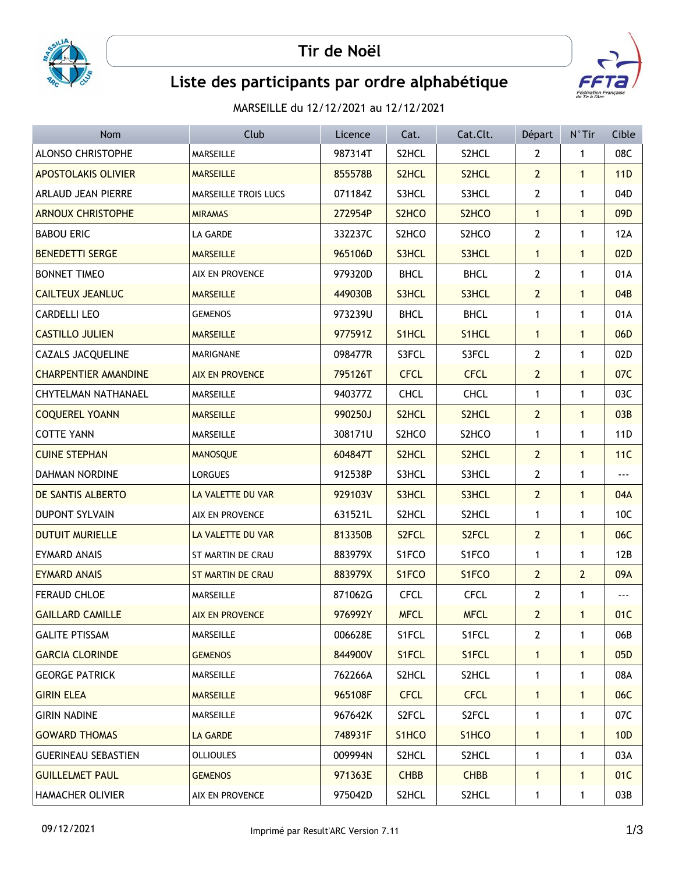



## Liste des participants par ordre alphabétique

MARSEILLE du 12/12/2021 au 12/12/2021

| Nom                         | Club                   | Licence | Cat.               | Cat.Clt.           | Départ         | N°Tir          | Cible           |
|-----------------------------|------------------------|---------|--------------------|--------------------|----------------|----------------|-----------------|
| ALONSO CHRISTOPHE           | MARSEILLE              | 987314T | S2HCL              | S2HCL              | $\overline{2}$ | $\mathbf{1}$   | 08C             |
| <b>APOSTOLAKIS OLIVIER</b>  | <b>MARSEILLE</b>       | 855578B | S2HCL              | S2HCL              | $\overline{2}$ | $\mathbf{1}$   | 11D             |
| ARLAUD JEAN PIERRE          | MARSEILLE TROIS LUCS   | 071184Z | S3HCL              | S3HCL              | $2^{\circ}$    | $\mathbf{1}$   | 04D             |
| <b>ARNOUX CHRISTOPHE</b>    | <b>MIRAMAS</b>         | 272954P | S <sub>2</sub> HCO | S2HCO              | $\mathbf{1}$   | $\mathbf{1}$   | 09D             |
| <b>BABOU ERIC</b>           | LA GARDE               | 332237C | S2HCO              | S2HCO              | $\overline{2}$ | $\mathbf{1}$   | 12A             |
| <b>BENEDETTI SERGE</b>      | <b>MARSEILLE</b>       | 965106D | S3HCL              | S3HCL              | $\mathbf{1}$   | $\mathbf{1}$   | 02D             |
| <b>BONNET TIMEO</b>         | AIX EN PROVENCE        | 979320D | <b>BHCL</b>        | <b>BHCL</b>        | $\overline{2}$ | $\mathbf{1}$   | 01A             |
| <b>CAILTEUX JEANLUC</b>     | <b>MARSEILLE</b>       | 449030B | S3HCL              | S3HCL              | $\overline{2}$ | $\mathbf{1}$   | 04B             |
| <b>CARDELLI LEO</b>         | <b>GEMENOS</b>         | 973239U | <b>BHCL</b>        | <b>BHCL</b>        | 1              | $\mathbf{1}$   | 01A             |
| <b>CASTILLO JULIEN</b>      | <b>MARSEILLE</b>       | 977591Z | S1HCL              | S1HCL              | $\mathbf{1}$   | $\mathbf{1}$   | 06D             |
| CAZALS JACQUELINE           | MARIGNANE              | 098477R | S3FCL              | S3FCL              | 2              | 1              | 02D             |
| <b>CHARPENTIER AMANDINE</b> | <b>AIX EN PROVENCE</b> | 795126T | <b>CFCL</b>        | <b>CFCL</b>        | $\overline{2}$ | $\mathbf{1}$   | 07C             |
| <b>CHYTELMAN NATHANAEL</b>  | MARSEILLE              | 940377Z | <b>CHCL</b>        | <b>CHCL</b>        | $\mathbf{1}$   | $\mathbf{1}$   | 03C             |
| <b>COQUEREL YOANN</b>       | <b>MARSEILLE</b>       | 990250J | S2HCL              | S2HCL              | $\overline{2}$ | $\mathbf{1}$   | 03B             |
| <b>COTTE YANN</b>           | <b>MARSEILLE</b>       | 308171U | S2HCO              | S2HCO              | $\mathbf{1}$   | $\mathbf{1}$   | 11 <sub>D</sub> |
| <b>CUINE STEPHAN</b>        | <b>MANOSQUE</b>        | 604847T | S2HCL              | S2HCL              | $\overline{2}$ | $\mathbf{1}$   | 11C             |
| <b>DAHMAN NORDINE</b>       | <b>LORGUES</b>         | 912538P | S3HCL              | S3HCL              | $\mathbf{2}$   | $\mathbf{1}$   | ---             |
| DE SANTIS ALBERTO           | LA VALETTE DU VAR      | 929103V | S3HCL              | S3HCL              | 2 <sup>2</sup> | $\mathbf{1}$   | 04A             |
| <b>DUPONT SYLVAIN</b>       | AIX EN PROVENCE        | 631521L | S2HCL              | S2HCL              | 1              | $\mathbf{1}$   | 10C             |
| <b>DUTUIT MURIELLE</b>      | LA VALETTE DU VAR      | 813350B | S <sub>2</sub> FCL | S <sub>2</sub> FCL | $\overline{2}$ | $\mathbf{1}$   | 06C             |
| <b>EYMARD ANAIS</b>         | ST MARTIN DE CRAU      | 883979X | S1FCO              | S1FCO              | $\mathbf{1}$   | $\mathbf{1}$   | 12B             |
| <b>EYMARD ANAIS</b>         | ST MARTIN DE CRAU      | 883979X | S1FCO              | S1FCO              | $\overline{2}$ | $\overline{2}$ | 09A             |
| <b>FERAUD CHLOE</b>         | <b>MARSEILLE</b>       | 871062G | <b>CFCL</b>        | <b>CFCL</b>        | $\mathbf{2}$   | 1              | ---             |
| <b>GAILLARD CAMILLE</b>     | <b>AIX EN PROVENCE</b> | 976992Y | <b>MFCL</b>        | <b>MFCL</b>        | $\overline{2}$ | $\mathbf{1}$   | 01C             |
| <b>GALITE PTISSAM</b>       | <b>MARSEILLE</b>       | 006628E | S1FCL              | S1FCL              | 2              | 1              | 06B             |
| <b>GARCIA CLORINDE</b>      | <b>GEMENOS</b>         | 844900V | S1FCL              | S1FCL              | $\mathbf{1}$   | $\mathbf{1}$   | 05 <sub>D</sub> |
| <b>GEORGE PATRICK</b>       | <b>MARSEILLE</b>       | 762266A | S2HCL              | S2HCL              | 1              | 1              | 08A             |
| <b>GIRIN ELEA</b>           | <b>MARSEILLE</b>       | 965108F | <b>CFCL</b>        | <b>CFCL</b>        | $\mathbf{1}$   | $\mathbf{1}$   | 06C             |
| <b>GIRIN NADINE</b>         | MARSEILLE              | 967642K | S2FCL              | S2FCL              | 1              | 1              | 07C             |
| <b>GOWARD THOMAS</b>        | LA GARDE               | 748931F | S <sub>1</sub> HCO | S1HCO              | $\mathbf{1}$   | $\mathbf{1}$   | 10D             |
| <b>GUERINEAU SEBASTIEN</b>  | <b>OLLIOULES</b>       | 009994N | S2HCL              | S2HCL              | 1              | 1              | 03A             |
| <b>GUILLELMET PAUL</b>      | <b>GEMENOS</b>         | 971363E | <b>CHBB</b>        | <b>CHBB</b>        | $\mathbf{1}$   | $\mathbf{1}$   | 01C             |
| <b>HAMACHER OLIVIER</b>     | AIX EN PROVENCE        | 975042D | S2HCL              | S2HCL              | 1              | 1              | 03B             |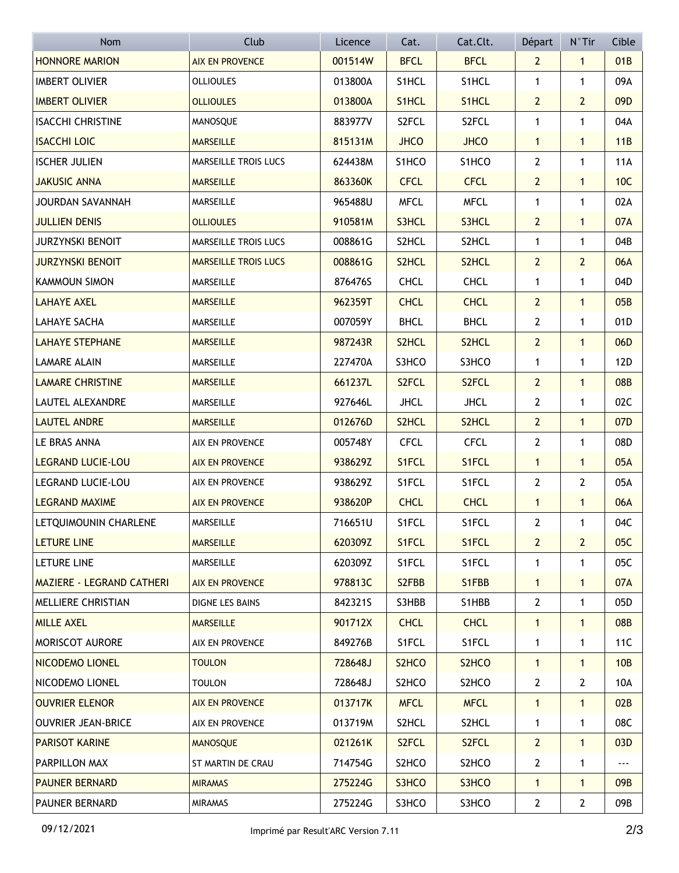| <b>Nom</b>                       | Club                        | Licence | Cat.                           | Cat.Clt.           | Départ         | $N^{\circ}$ Tir | Cible           |
|----------------------------------|-----------------------------|---------|--------------------------------|--------------------|----------------|-----------------|-----------------|
| <b>HONNORE MARION</b>            | <b>AIX EN PROVENCE</b>      | 001514W | <b>BFCL</b>                    | <b>BFCL</b>        | $\overline{2}$ | $\mathbf{1}$    | 01B             |
| <b>IMBERT OLIVIER</b>            | <b>OLLIOULES</b>            | 013800A | S1HCL                          | S1HCL              | 1              | $\mathbf{1}$    | 09A             |
| <b>IMBERT OLIVIER</b>            | <b>OLLIOULES</b>            | 013800A | S1HCL                          | S1HCL              | $\overline{2}$ | $\overline{2}$  | 09 <sub>D</sub> |
| <b>ISACCHI CHRISTINE</b>         | MANOSQUE                    | 883977V | S2FCL                          | S2FCL              | $\mathbf{1}$   | $\mathbf{1}$    | 04A             |
| <b>ISACCHI LOIC</b>              | <b>MARSEILLE</b>            | 815131M | <b>JHCO</b>                    | <b>JHCO</b>        | $\mathbf{1}$   | $\mathbf{1}$    | 11B             |
| <b>ISCHER JULIEN</b>             | MARSEILLE TROIS LUCS        | 624438M | S1HCO                          | S1HCO              | $\overline{2}$ | $\mathbf{1}$    | <b>11A</b>      |
| <b>JAKUSIC ANNA</b>              | <b>MARSEILLE</b>            | 863360K | <b>CFCL</b>                    | <b>CFCL</b>        | $\overline{2}$ | $\mathbf{1}$    | 10C             |
| <b>JOURDAN SAVANNAH</b>          | <b>MARSEILLE</b>            | 965488U | <b>MFCL</b>                    | <b>MFCL</b>        | 1              | $\mathbf{1}$    | 02A             |
| <b>JULLIEN DENIS</b>             | <b>OLLIOULES</b>            | 910581M | S3HCL                          | S3HCL              | $\overline{2}$ | $\mathbf{1}$    | 07A             |
| <b>JURZYNSKI BENOIT</b>          | MARSEILLE TROIS LUCS        | 008861G | S2HCL                          | S2HCL              | $\mathbf{1}$   | $\mathbf{1}$    | 04B             |
| <b>JURZYNSKI BENOIT</b>          | <b>MARSEILLE TROIS LUCS</b> | 008861G | S2HCL                          | S2HCL              | $\overline{2}$ | $\overline{2}$  | 06A             |
| <b>KAMMOUN SIMON</b>             | <b>MARSEILLE</b>            | 876476S | <b>CHCL</b>                    | <b>CHCL</b>        | $\mathbf 1$    | $\mathbf{1}$    | 04D             |
| <b>LAHAYE AXEL</b>               | <b>MARSEILLE</b>            | 962359T | <b>CHCL</b>                    | <b>CHCL</b>        | $\overline{2}$ | $\mathbf{1}$    | 05B             |
| <b>LAHAYE SACHA</b>              | MARSEILLE                   | 007059Y | <b>BHCL</b>                    | <b>BHCL</b>        | $\overline{2}$ | $\mathbf{1}$    | 01D             |
| <b>LAHAYE STEPHANE</b>           | <b>MARSEILLE</b>            | 987243R | S <sub>2</sub> HCL             | S2HCL              | $\overline{2}$ | $\mathbf{1}$    | 06D             |
| <b>LAMARE ALAIN</b>              | <b>MARSEILLE</b>            | 227470A | S3HCO                          | S3HCO              | $\mathbf 1$    | $\mathbf{1}$    | 12D             |
| <b>LAMARE CHRISTINE</b>          | <b>MARSEILLE</b>            | 661237L | S <sub>2</sub> FCL             | S <sub>2</sub> FCL | $\overline{2}$ | $\mathbf{1}$    | 08B             |
| LAUTEL ALEXANDRE                 | MARSEILLE                   | 927646L | <b>JHCL</b>                    | <b>JHCL</b>        | $\overline{2}$ | $\mathbf{1}$    | 02C             |
| <b>LAUTEL ANDRE</b>              | <b>MARSEILLE</b>            | 012676D | S2HCL                          | S <sub>2</sub> HCL | $\overline{2}$ | $\mathbf{1}$    | 07 <sub>D</sub> |
| LE BRAS ANNA                     | AIX EN PROVENCE             | 005748Y | <b>CFCL</b>                    | <b>CFCL</b>        | $\overline{2}$ | $\mathbf{1}$    | 08D             |
| <b>LEGRAND LUCIE-LOU</b>         | <b>AIX EN PROVENCE</b>      | 938629Z | S1FCL                          | S1FCL              | $\mathbf{1}$   | $\mathbf{1}$    | 05A             |
| LEGRAND LUCIE-LOU                | AIX EN PROVENCE             | 938629Z | S1FCL                          | S1FCL              | $\overline{2}$ | $\overline{2}$  | 05A             |
| <b>LEGRAND MAXIME</b>            | <b>AIX EN PROVENCE</b>      | 938620P | <b>CHCL</b>                    | <b>CHCL</b>        | $\mathbf{1}$   | $\mathbf{1}$    | 06A             |
| <b>LETQUIMOUNIN CHARLENE</b>     | MARSEILLE                   | 716651U | S1FCL                          | S1FCL              | $\overline{2}$ | $\mathbf{1}$    | 04C             |
| <b>LETURE LINE</b>               | <b>MARSEILLE</b>            | 620309Z | S1FCL                          | S1FCL              | $\overline{2}$ | $\overline{2}$  | 05C             |
| LETURE LINE                      | <b>MARSEILLE</b>            | 620309Z | S1FCL                          | S1FCL              | 1              | $\mathbf{1}$    | 05C             |
| <b>MAZIERE - LEGRAND CATHERI</b> | <b>AIX EN PROVENCE</b>      | 978813C | S <sub>2</sub> FBB             | S1FBB              | $\mathbf{1}$   | $\mathbf{1}$    | 07A             |
| MELLIERE CHRISTIAN               | DIGNE LES BAINS             | 8423215 | S3HBB                          | S1HBB              | $\mathbf{2}$   | $\mathbf{1}$    | 05D             |
| <b>MILLE AXEL</b>                | <b>MARSEILLE</b>            | 901712X | <b>CHCL</b>                    | <b>CHCL</b>        | $\mathbf{1}$   | $\mathbf{1}$    | 08B             |
| MORISCOT AURORE                  | AIX EN PROVENCE             | 849276B | S1FCL                          | S1FCL              | 1              | $\mathbf{1}$    | 11C             |
| NICODEMO LIONEL                  | <b>TOULON</b>               | 728648J | S <sub>2</sub> H <sub>CO</sub> | S <sub>2</sub> HCO | $\mathbf{1}$   | $\mathbf{1}$    | 10B             |
| NICODEMO LIONEL                  | <b>TOULON</b>               | 728648J | S2HCO                          | S2HCO              | $\overline{2}$ | $\overline{2}$  | 10A             |
| <b>OUVRIER ELENOR</b>            | <b>AIX EN PROVENCE</b>      | 013717K | <b>MFCL</b>                    | <b>MFCL</b>        | $\mathbf{1}$   | $\mathbf{1}$    | 02B             |
| <b>OUVRIER JEAN-BRICE</b>        | AIX EN PROVENCE             | 013719M | S2HCL                          | S2HCL              | $\mathbf{1}$   | $\mathbf{1}$    | 08C             |
| <b>PARISOT KARINE</b>            | <b>MANOSQUE</b>             | 021261K | S2FCL                          | S <sub>2</sub> FCL | $\mathbf{2}$   | $\mathbf{1}$    | 03D             |
| PARPILLON MAX                    | ST MARTIN DE CRAU           | 714754G | S2HCO                          | S2HCO              | $\overline{2}$ | $\mathbf{1}$    | $--$            |
| <b>PAUNER BERNARD</b>            | <b>MIRAMAS</b>              | 275224G | S3HCO                          | S3HCO              | $\mathbf{1}$   | $\mathbf{1}$    | 09B             |
| <b>PAUNER BERNARD</b>            | <b>MIRAMAS</b>              | 275224G | S3HCO                          | S3HCO              | $\overline{2}$ | $\overline{2}$  | 09B             |